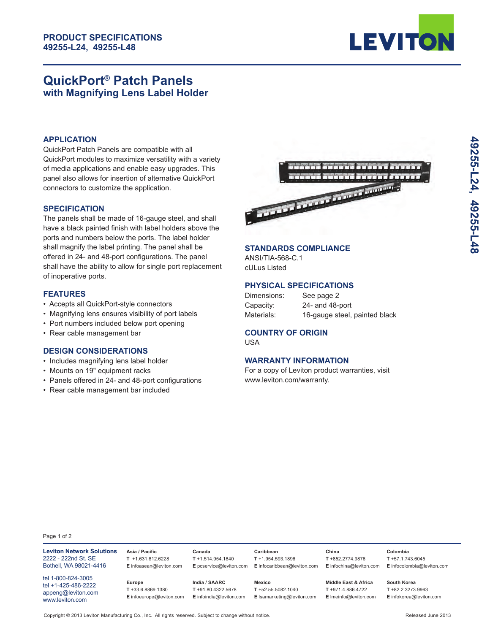

# **QuickPort® Patch Panels with Magnifying Lens Label Holder**

#### **APPLICATION**

QuickPort Patch Panels are compatible with all QuickPort modules to maximize versatility with a variety of media applications and enable easy upgrades. This panel also allows for insertion of alternative QuickPort connectors to customize the application.

#### **SPECIFICATION**

The panels shall be made of 16-gauge steel, and shall have a black painted finish with label holders above the ports and numbers below the ports. The label holder shall magnify the label printing. The panel shall be offered in 24- and 48-port configurations. The panel shall have the ability to allow for single port replacement of inoperative ports.

#### **FEATURES**

- Accepts all QuickPort-style connectors
- Magnifying lens ensures visibility of port labels
- Port numbers included below port opening
- Rear cable management bar

#### **DESIGN CONSIDERATIONS**

- Includes magnifying lens label holder
- Mounts on 19" equipment racks
- Panels offered in 24- and 48-port configurations
- Rear cable management bar included



## **STANDARDS COMPLIANCE**

ANSI/TIA-568-C.1 cULus Listed

## **PHYSICAL SPECIFICATIONS**

| Dimensions: | See page 2                    |
|-------------|-------------------------------|
| Capacity:   | 24- and 48-port               |
| Materials:  | 16-gauge steel, painted black |

## **COUNTRY OF ORIGIN**

USA

## **WARRANTY INFORMATION**

For a copy of Leviton product warranties, visit www.leviton.com/warranty.

Page 1 of 2

| <b>Leviton Network Solutions</b><br>2222 - 222nd St. SE<br>Bothell, WA 98021-4416  | Asia / Pacific<br>$T$ +1.631.812.6228<br>E infoasean@leviton.com | Canada<br>$T + 1.514.954.1840$<br>E pcservice@leviton.com         | Caribbean<br>$T + 1.954.593.1896$<br>E infocaribbean@leviton.com     | China<br>$T + 852.2774.9876$<br>E infochina@leviton.com                       | Colombia<br>$T + 57.1.743.6045$<br>E infocolombia@leviton.com  |
|------------------------------------------------------------------------------------|------------------------------------------------------------------|-------------------------------------------------------------------|----------------------------------------------------------------------|-------------------------------------------------------------------------------|----------------------------------------------------------------|
| tel 1-800-824-3005<br>tel +1-425-486-2222<br>appeng@leviton.com<br>www.leviton.com | Europe<br>$T + 33.6.8869.1380$<br>E infoeurope@leviton.com       | India / SAARC<br>$T + 91.80.4322.5678$<br>E infoindia@leviton.com | <b>Mexico</b><br>$T + 52.55.5082.1040$<br>E Isamarketing@leviton.com | <b>Middle East &amp; Africa</b><br>T +971.4.886.4722<br>E Imeinfo@leviton.com | South Korea<br>$T + 82.2.3273.9963$<br>E infokorea@leviton.com |